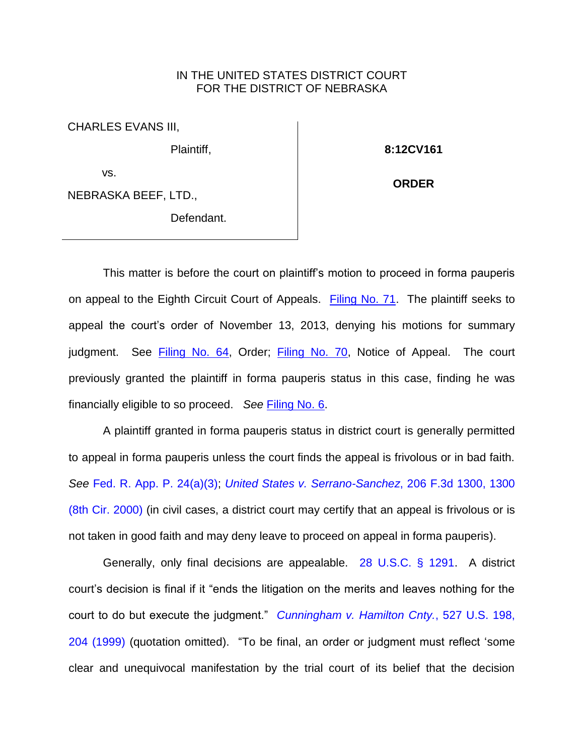## IN THE UNITED STATES DISTRICT COURT FOR THE DISTRICT OF NEBRASKA

CHARLES EVANS III,

Plaintiff,

vs.

NEBRASKA BEEF, LTD.,

Defendant.

**8:12CV161**

**ORDER**

This matter is before the court on plaintiff's motion to proceed in forma pauperis on appeal to the Eighth Circuit Court of Appeals. [Filing No. 71.](https://ecf.ned.uscourts.gov/doc1/11312935314) The plaintiff seeks to appeal the court's order of November 13, 2013, denying his motions for summary judgment. See [Filing No. 64,](https://ecf.ned.uscourts.gov/doc1/11312905868) Order; [Filing No. 70,](https://ecf.ned.uscourts.gov/doc1/11312935311) Notice of Appeal. The court previously granted the plaintiff in forma pauperis status in this case, finding he was financially eligible to so proceed. *See* [Filing No. 6.](https://ecf.ned.uscourts.gov/doc1/11312547543)

A plaintiff granted in forma pauperis status in district court is generally permitted to appeal in forma pauperis unless the court finds the appeal is frivolous or in bad faith. *See* [Fed. R. App. P. 24\(a\)\(3\);](http://westlaw.com/find/default.wl?ft=L&docname=USFRAPR24&rs=btil2.0&rp=%2ffind%2fdefault.wl&fn=_top&findtype=L&vr=2.0&db=1000599&wbtoolsId=USFRAPR24&HistoryType=F) *[United States v. Serrano-Sanchez](http://westlaw.com/find/default.wl?ft=Y&referencepositiontype=S&rs=btil2.0&rp=%2ffind%2fdefault.wl&serialnum=2000082150&fn=_top&referenceposition=1300&findtype=Y&vr=2.0&db=0000506&wbtoolsId=2000082150&HistoryType=F)*, 206 F.3d 1300, 1300 [\(8th Cir. 2000\)](http://westlaw.com/find/default.wl?ft=Y&referencepositiontype=S&rs=btil2.0&rp=%2ffind%2fdefault.wl&serialnum=2000082150&fn=_top&referenceposition=1300&findtype=Y&vr=2.0&db=0000506&wbtoolsId=2000082150&HistoryType=F) (in civil cases, a district court may certify that an appeal is frivolous or is not taken in good faith and may deny leave to proceed on appeal in forma pauperis).

Generally, only final decisions are appealable. [28 U.S.C. § 1291.](http://westlaw.com/find/default.wl?ft=L&docname=28USCAS1291&rs=btil2.0&rp=%2ffind%2fdefault.wl&fn=_top&findtype=L&vr=2.0&db=1000546&wbtoolsId=28USCAS1291&HistoryType=F) A district court's decision is final if it "ends the litigation on the merits and leaves nothing for the court to do but execute the judgment." *[Cunningham v. Hamilton Cnty.](http://westlaw.com/find/default.wl?ft=Y&referencepositiontype=S&rs=btil2.0&rp=%2ffind%2fdefault.wl&serialnum=1999139763&fn=_top&referenceposition=204&findtype=Y&vr=2.0&db=0000780&wbtoolsId=1999139763&HistoryType=F)*, 527 U.S. 198, [204 \(1999\)](http://westlaw.com/find/default.wl?ft=Y&referencepositiontype=S&rs=btil2.0&rp=%2ffind%2fdefault.wl&serialnum=1999139763&fn=_top&referenceposition=204&findtype=Y&vr=2.0&db=0000780&wbtoolsId=1999139763&HistoryType=F) (quotation omitted). "To be final, an order or judgment must reflect 'some clear and unequivocal manifestation by the trial court of its belief that the decision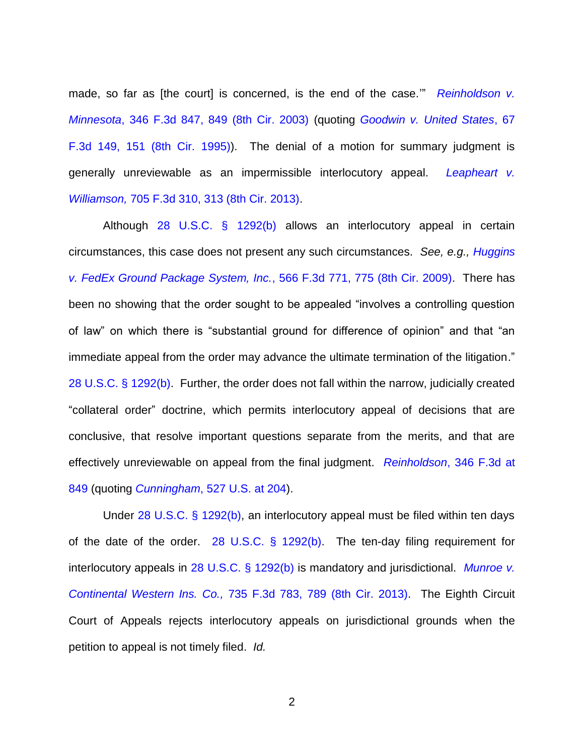made, so far as [the court] is concerned, is the end of the case." *Reinholdson v. Minnesota*[, 346 F.3d 847, 849 \(8th Cir. 2003\)](http://westlaw.com/find/default.wl?ft=Y&referencepositiontype=S&rs=btil2.0&rp=%2ffind%2fdefault.wl&serialnum=2003718516&fn=_top&referenceposition=849&findtype=Y&vr=2.0&db=0000506&wbtoolsId=2003718516&HistoryType=F) (quoting *[Goodwin v. United States](http://westlaw.com/find/default.wl?ft=Y&referencepositiontype=S&rs=btil2.0&rp=%2ffind%2fdefault.wl&serialnum=1995198183&fn=_top&referenceposition=151&findtype=Y&vr=2.0&db=0000506&wbtoolsId=1995198183&HistoryType=F)*, 67 [F.3d 149, 151 \(8th Cir.](http://westlaw.com/find/default.wl?ft=Y&referencepositiontype=S&rs=btil2.0&rp=%2ffind%2fdefault.wl&serialnum=1995198183&fn=_top&referenceposition=151&findtype=Y&vr=2.0&db=0000506&wbtoolsId=1995198183&HistoryType=F) 1995)). The denial of a motion for summary judgment is generally unreviewable as an impermissible interlocutory appeal. *[Leapheart v.](http://westlaw.com/find/default.wl?ft=Y&referencepositiontype=S&rs=btil2.0&rp=%2ffind%2fdefault.wl&serialnum=2029743306&fn=_top&referenceposition=313&findtype=Y&vr=2.0&db=0000506&wbtoolsId=2029743306&HistoryType=F)  Williamson,* [705 F.3d 310, 313 \(8th Cir. 2013\).](http://westlaw.com/find/default.wl?ft=Y&referencepositiontype=S&rs=btil2.0&rp=%2ffind%2fdefault.wl&serialnum=2029743306&fn=_top&referenceposition=313&findtype=Y&vr=2.0&db=0000506&wbtoolsId=2029743306&HistoryType=F)

Although [28 U.S.C. § 1292\(b\)](http://westlaw.com/find/default.wl?ft=L&docname=28USCAS1292&rs=btil2.0&rp=%2ffind%2fdefault.wl&fn=_top&findtype=L&vr=2.0&db=1000546&wbtoolsId=28USCAS1292&HistoryType=F) allows an interlocutory appeal in certain circumstances, this case does not present any such circumstances. *See, e.g., [Huggins](http://westlaw.com/find/default.wl?ft=Y&referencepositiontype=S&rs=btil2.0&rp=%2ffind%2fdefault.wl&serialnum=2018898410&fn=_top&referenceposition=775&findtype=Y&vr=2.0&db=0000506&wbtoolsId=2018898410&HistoryType=F)  [v. FedEx Ground Package System, Inc.](http://westlaw.com/find/default.wl?ft=Y&referencepositiontype=S&rs=btil2.0&rp=%2ffind%2fdefault.wl&serialnum=2018898410&fn=_top&referenceposition=775&findtype=Y&vr=2.0&db=0000506&wbtoolsId=2018898410&HistoryType=F)*, 566 F.3d 771, 775 (8th Cir. 2009). There has been no showing that the order sought to be appealed "involves a controlling question of law" on which there is "substantial ground for difference of opinion" and that "an immediate appeal from the order may advance the ultimate termination of the litigation." [28 U.S.C. § 1292\(b\).](http://westlaw.com/find/default.wl?ft=L&docname=28USCAS1292&rs=btil2.0&rp=%2ffind%2fdefault.wl&fn=_top&findtype=L&vr=2.0&db=1000546&wbtoolsId=28USCAS1292&HistoryType=F) Further, the order does not fall within the narrow, judicially created "collateral order" doctrine, which permits interlocutory appeal of decisions that are conclusive, that resolve important questions separate from the merits, and that are effectively unreviewable on appeal from the final judgment. *Reinholdson*[, 346 F.3d at](http://westlaw.com/find/default.wl?ft=Y&referencepositiontype=S&rs=btil2.0&rp=%2ffind%2fdefault.wl&serialnum=2003718516&fn=_top&referenceposition=849&findtype=Y&vr=2.0&db=0000506&wbtoolsId=2003718516&HistoryType=F)  [849](http://westlaw.com/find/default.wl?ft=Y&referencepositiontype=S&rs=btil2.0&rp=%2ffind%2fdefault.wl&serialnum=2003718516&fn=_top&referenceposition=849&findtype=Y&vr=2.0&db=0000506&wbtoolsId=2003718516&HistoryType=F) (quoting *Cunningham*[, 527 U.S. at 204\)](http://westlaw.com/find/default.wl?ft=Y&referencepositiontype=S&rs=btil2.0&rp=%2ffind%2fdefault.wl&serialnum=1999139763&fn=_top&referenceposition=204&findtype=Y&vr=2.0&db=0000780&wbtoolsId=1999139763&HistoryType=F).

Under  $28$  U.S.C. § 1292(b), an interlocutory appeal must be filed within ten days of the date of the order. [28 U.S.C. § 1292\(b\).](http://westlaw.com/find/default.wl?ft=L&docname=28USCAS1292&rs=btil2.0&rp=%2ffind%2fdefault.wl&fn=_top&findtype=L&vr=2.0&db=1000546&wbtoolsId=28USCAS1292&HistoryType=F) The ten-day filing requirement for interlocutory appeals in [28 U.S.C. § 1292\(b\)](http://westlaw.com/find/default.wl?ft=L&docname=28USCAS1292&rs=btil2.0&rp=%2ffind%2fdefault.wl&fn=_top&findtype=L&vr=2.0&db=1000546&wbtoolsId=28USCAS1292&HistoryType=F) is mandatory and jurisdictional. *[Munroe v.](http://westlaw.com/find/default.wl?ft=Y&referencepositiontype=S&rs=btil2.0&rp=%2ffind%2fdefault.wl&serialnum=2031919875&fn=_top&referenceposition=789&findtype=Y&vr=2.0&db=0000506&wbtoolsId=2031919875&HistoryType=F)  [Continental Western Ins. Co.,](http://westlaw.com/find/default.wl?ft=Y&referencepositiontype=S&rs=btil2.0&rp=%2ffind%2fdefault.wl&serialnum=2031919875&fn=_top&referenceposition=789&findtype=Y&vr=2.0&db=0000506&wbtoolsId=2031919875&HistoryType=F)* 735 F.3d 783, 789 (8th Cir. 2013). The Eighth Circuit Court of Appeals rejects interlocutory appeals on jurisdictional grounds when the petition to appeal is not timely filed. *Id.*

2